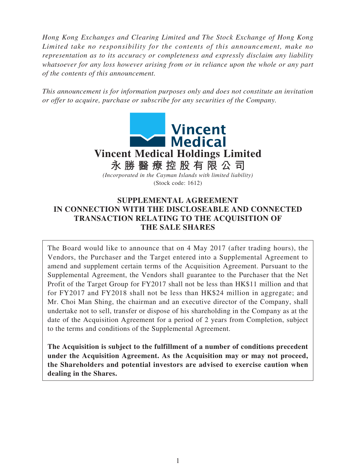*Hong Kong Exchanges and Clearing Limited and The Stock Exchange of Hong Kong Limited take no responsibility for the contents of this announcement, make no representation as to its accuracy or completeness and expressly disclaim any liability whatsoever for any loss however arising from or in reliance upon the whole or any part of the contents of this announcement.*

*This announcement is for information purposes only and does not constitute an invitation or offer to acquire, purchase or subscribe for any securities of the Company.*



## **SUPPLEMENTAL AGREEMENT IN CONNECTION WITH THE DISCLOSEABLE AND CONNECTED TRANSACTION RELATING TO THE ACQUISITION OF THE SALE SHARES**

The Board would like to announce that on 4 May 2017 (after trading hours), the Vendors, the Purchaser and the Target entered into a Supplemental Agreement to amend and supplement certain terms of the Acquisition Agreement. Pursuant to the Supplemental Agreement, the Vendors shall guarantee to the Purchaser that the Net Profit of the Target Group for FY2017 shall not be less than HK\$11 million and that for FY2017 and FY2018 shall not be less than HK\$24 million in aggregate; and Mr. Choi Man Shing, the chairman and an executive director of the Company, shall undertake not to sell, transfer or dispose of his shareholding in the Company as at the date of the Acquisition Agreement for a period of 2 years from Completion, subject to the terms and conditions of the Supplemental Agreement.

**The Acquisition is subject to the fulfillment of a number of conditions precedent under the Acquisition Agreement. As the Acquisition may or may not proceed, the Shareholders and potential investors are advised to exercise caution when dealing in the Shares.**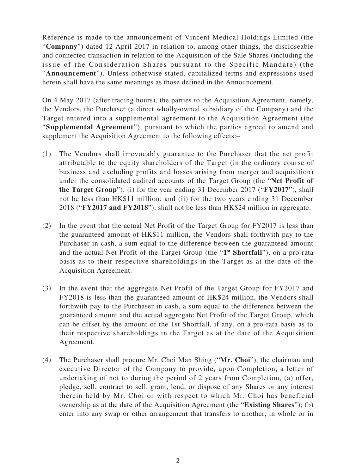Reference is made to the announcement of Vincent Medical Holdings Limited (the "**Company**") dated 12 April 2017 in relation to, among other things, the discloseable and connected transaction in relation to the Acquisition of the Sale Shares (including the issue of the Consideration Shares pursuant to the Specific Mandate) (the "**Announcement**"). Unless otherwise stated, capitalized terms and expressions used herein shall have the same meanings as those defined in the Announcement.

On 4 May 2017 (after trading hours), the parties to the Acquisition Agreement, namely, the Vendors, the Purchaser (a direct wholly-owned subsidiary of the Company) and the Target entered into a supplemental agreement to the Acquisition Agreement (the "**Supplemental Agreement**"), pursuant to which the parties agreed to amend and supplement the Acquisition Agreement to the following effects:–

- (1) The Vendors shall irrevocably guarantee to the Purchaser that the net profit attributable to the equity shareholders of the Target (in the ordinary course of business and excluding profits and losses arising from merger and acquisition) under the consolidated audited accounts of the Target Group (the "**Net Profit of the Target Group**"): (i) for the year ending 31 December 2017 ("**FY2017**"), shall not be less than HK\$11 million; and (ii) for the two years ending 31 December 2018 ("**FY2017 and FY2018**"), shall not be less than HK\$24 million in aggregate.
- (2) In the event that the actual Net Profit of the Target Group for FY2017 is less than the guaranteed amount of HK\$11 million, the Vendors shall forthwith pay to the Purchaser in cash, a sum equal to the difference between the guaranteed amount and the actual Net Profit of the Target Group (the "**1st Shortfall**"), on a pro-rata basis as to their respective shareholdings in the Target as at the date of the Acquisition Agreement.
- (3) In the event that the aggregate Net Profit of the Target Group for FY2017 and FY2018 is less than the guaranteed amount of HK\$24 million, the Vendors shall forthwith pay to the Purchaser in cash, a sum equal to the difference between the guaranteed amount and the actual aggregate Net Profit of the Target Group, which can be offset by the amount of the 1st Shortfall, if any, on a pro-rata basis as to their respective shareholdings in the Target as at the date of the Acquisition Agreement.
- (4) The Purchaser shall procure Mr. Choi Man Shing ("**Mr. Choi**"), the chairman and executive Director of the Company to provide, upon Completion, a letter of undertaking of not to during the period of 2 years from Completion, (a) offer, pledge, sell, contract to sell, grant, lend, or dispose of any Shares or any interest therein held by Mr. Choi or with respect to which Mr. Choi has beneficial ownership as at the date of the Acquisition Agreement (the "**Existing Shares**"); (b) enter into any swap or other arrangement that transfers to another, in whole or in